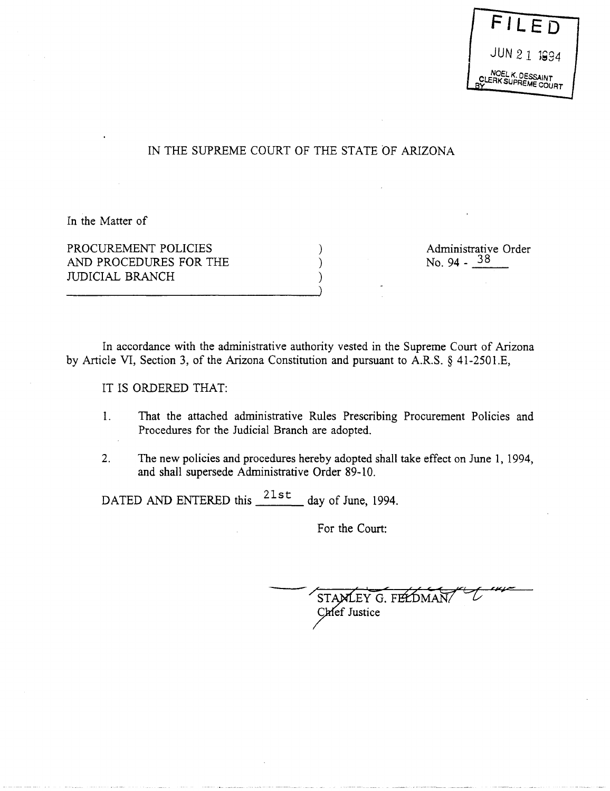# IN THE SUPREME COURT OF THE STATE OF ARIZONA

In the Matter of

PROCUREMENT POLICIES AND PROCEDURES FOR THE JUDICIAL BRANCH

Administrative Order No. 94 - 38

In accordance with the administrative authority vested in the Supreme Court of Arizona by Article VI, Section 3, of the Arizona Constitution and pursuant to A.R.S. § 41-2501.E,

IT IS ORDERED THAT:

1. That the attached administrative Rules Prescribing Procurement Policies and Procedures for the Judicial Branch are adopted.

) ) ) )

2. The new policies and procedures hereby adopted shall take effect on June 1, 1994, and shall supersede Administrative Order 89-10.

DATED AND ENTERED this  $\frac{21st}{s}$  day of June, 1994.

For the Court:

STAMLEY G. FELDMAN Chef Justice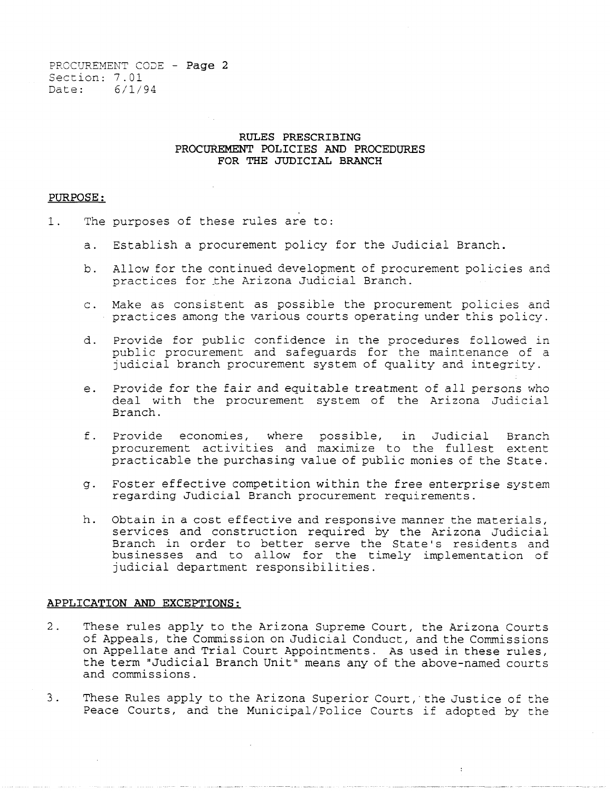## **RULES PRESCRIBING PROCUREMENT POLICIES AND PROCEDURES FOR THE JUDICIAL BRANCH**

## **PURPOSE:**

- 1. The purposes of these rules are to:
	- a. Establish a procurement policy for the Judicial Branch.
	- b. Allow for the continued development of procurement policies and practices for the Arizona Judicial Branch.
	- c. Make as consistent as possible the procurement policies and practices among the various courts operating under this policy.
	- d. Provide for public confidence in the procedures followed in public procurement and safeguards for the maintenance of a judicial branch procurement system of quality and integrity.
	- e. Provide for the fair and equitable treatment of all persons who deal with the procurement system of the Arizona Judicial Branch.
	- f. Provide economies, where possible, in Judicial Branch procurement activities and maximize to the fullest extent practicable the purchasing value of public monies of the State.
	- g. Foster effective competition within the free enterprise system regarding Judicial Branch procurement requirements.
	- h. Obtain in a cost effective and responsive manner the materials, services and construction required by the Arizona Judicial Branch in order to better serve the State's residents and businesses and to allow for the timely implementation of judicial department responsibilities.

## **APPLICATION AND EXCEPTIONS:**

- 2. These rules apply to the Arizona Supreme Court, the Arizona Courts of Appeals, the Commission on Judicial Conduct, and the Commissions on Appellate and Trial Court Appointments. As used in these rules, the term "Judicial Branch Unit" means any of the above-named courts and commissions.
- 3. These Rules apply to the Arizona Superior Court,'the Justice of the Peace Courts, and the Municipal/Police Courts if adopted by the

 $\ddot{\cdot}$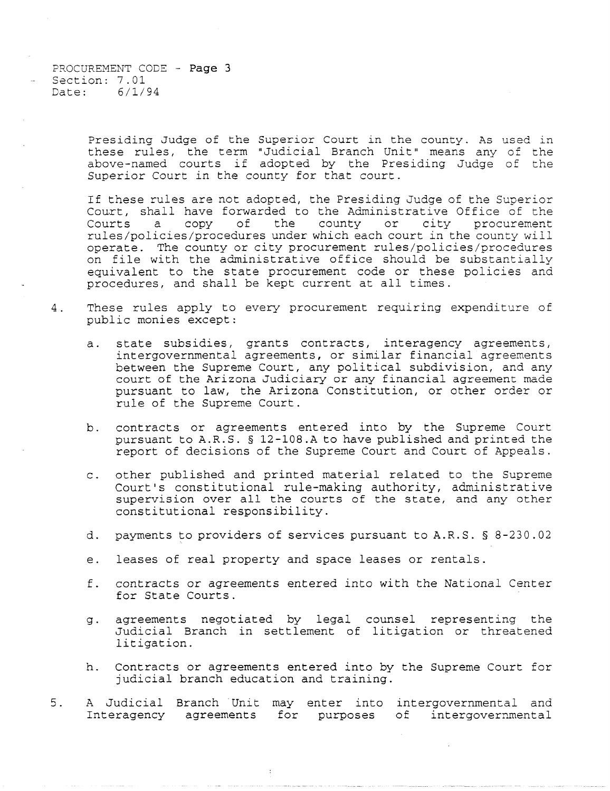PROCUREMENT CODE - **Page** 3 Section: 7.01 Date: 6/1/94

> Presiding Judge of the Superior Court in the county. As used in these rules, the term "Judicial Branch Unit" means any of the above-named courts if adopted by the Presiding Judge of the Superior Court in the county for that court.

> If these rules are not adopted, the Presiding Judge of the Superior If these factor and more analysis, the researchly cange of the Court, shall have forwarded to the Administrative Office of the Courts a copy of the county or city procurement Courts a copy of the county or city procurement<br>rules/policies/procedures under which each court in the county will operate. The county or city procurement rules/policies/procedures on file with the administrative office should be substantially equivalent to the state procurement code or these policies and procedures, and shall be kept current at all times.

- 4. These rules apply to every procurement requiring expenditure of public monies except:
	- a. state subsidies, grants contracts, interagency agreements, intergovernmental agreements, or similar financial agreements between the Supreme Court, any political subdivision, and any court of the Arizona Judiciary or any financial agreement made pursuant to law, the Arizona Constitution, or other order or rule of the Supreme Court.
	- b. contracts or agreements entered into by the Supreme Court pursuant to A.R.S. § 12-108.A to have published and printed the report of decisions of the Supreme Court and Court of Appeals.
	- c. other published and printed material related to the Supreme Court's constitutional rule-making authority, administrative supervision over all the courts of the state, and any other constitutional responsibility.
	- d. payments to providers of services pursuant to A.R.S. § 8-230.02
	- e. leases of real property and space leases or rentals.
	- f. contracts or agreements entered into with the National Center for State Courts.
	- g. agreements negotiated by legal counsel representing the Judicial Branch in settlement of litigation or threatened litigation.
	- h. Contracts or agreements entered into by the Supreme Court for judicial branch education and training.
- 5. A Judicial Branch Unit may enter into intergovernmental and Interagency agreements for purposes of intergovernmental

 $\ddot{\phantom{a}}$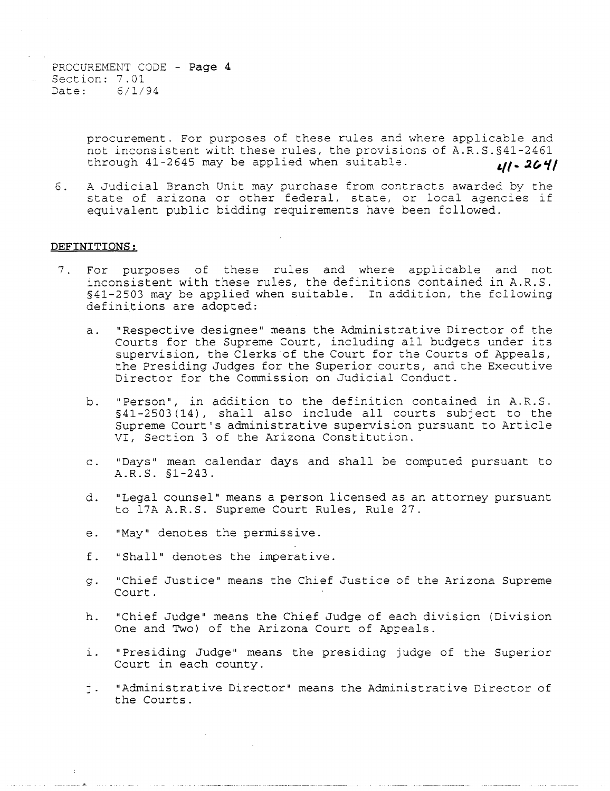PROCUREMENT CODE - Page 4 Section: 7.01 Date: *6/1/94* 

> procurement. For purposes of these rules and where applicable and not inconsistent with these rules, the provisions of A.R.S.§41-2461 through 41-2645 may be applied when suitable.  $11 - 2641$

6. A Judicial Branch Unit may purchase from contracts awarded by the state of arizona or other federal, state, or local agencies if equivalent public bidding requirements have been followed.

## **DEFINITIONS:**

- 7. For purposes of these rules and where applicable and not inconsistent with these rules, the definitions contained in A.R.S. §41-2503 may be applied when suitable. In addition, the following definitions are adopted:
	- a. "Respective designee" means the Administrative Director of the Courts for the Supreme Court, including all budgets under its supervision, the Clerks of the Court for the Courts of Appeals, the Presiding Judges for the Superior courts, and the Executive Director for the Commission on Judicial Conduct.
	- b. "Person", In addition to the definition contained in A.R.S. §41-2503 (14), shall also include all courts subject to the Supreme Court's administrative supervision pursuant to Article VI, Section 3 of the Arizona Constitution.
	- c. "Days" mean calendar days and shall be computed pursuant to A.R.S. §1-243.
	- d. "Legal counsel" means a person licensed as an attorney pursuant to 17A A.R.S. Supreme Court Rules, Rule 27.
	- e. "May" denotes the permissive.
	- f. "Shall" denotes the imperative.
	- g. "Chief Justice" means the Chief Justice of the Arizona Supreme Court.
	- h. "Chief Judge" means the Chief Judge of each division (Division One and Two) of the Arizona Court of Appeals.
	- i. "Presiding Judge" means the presiding judge of the Superior Court in each county.
	- j. "Administrative Director" means the Administrative Director of the Courts.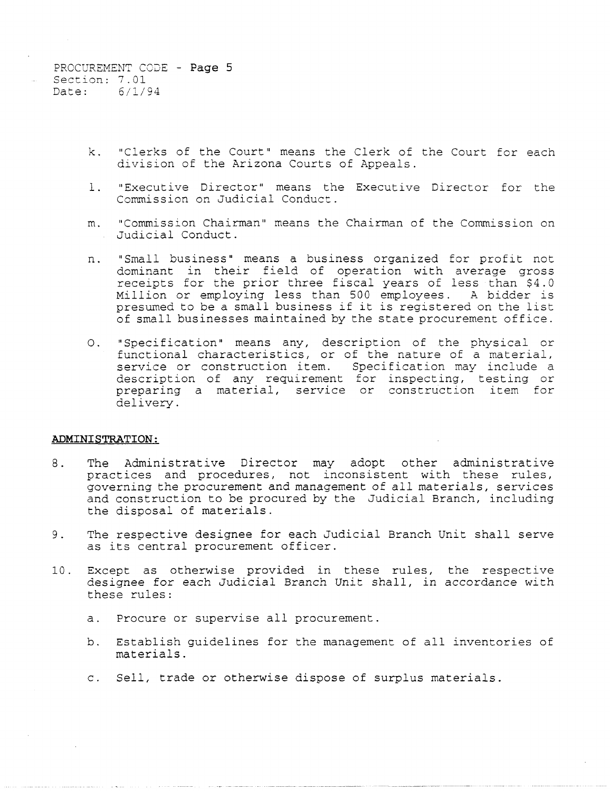PROCUREMENT CODE - Page 5 Section: 7.01 Date: 6/1/94

- k. "Clerks of the Court" means the Clerk of the Court for each division of the Arizona Courts of Appeals.
- 1. " Executive Director" means the Executive Director for the Commission on Judicial Conduct.
- m. "Commission Chairman" means the Chairman of the Commission on Judicial Conduct.
- n. "Small business" means a business organized for profit not dominant in their field of operation with average gross receipts for the prior three fiscal years of less than \$4.0 Million or employing less than 500 employees. A bidder is presumed to be a small business if it is registered on the list of small businesses maintained by the state procurement office.
- O. "Specification" means any, description of the physical or functional characteristics, or of the nature of a material, service or construction item. Specification may include a description of any requirement for inspecting, testing or preparing a material, service or construction item for delivery.

### **ADMINISTRATION:**

- 8. The Administrative Director may adopt other administrative practices and procedures, not inconsistent with these rules, governing the procurement and management of all materials, services and construction to be procured by the Judicial Branch, including the disposal of materials.
- 9. The respective designee for each Judicial Branch Unit shall serve as its central procurement officer.
- 10. Except as otherwise provided in these rules, the respective designee for each Judicial Branch Unit shall, In accordance with these rules:
	- a. Procure or supervise all procurement.
	- b. Establish guidelines for the management of all inventories of materials.
	- c. Sell, trade or otherwise dispose of surplus materials.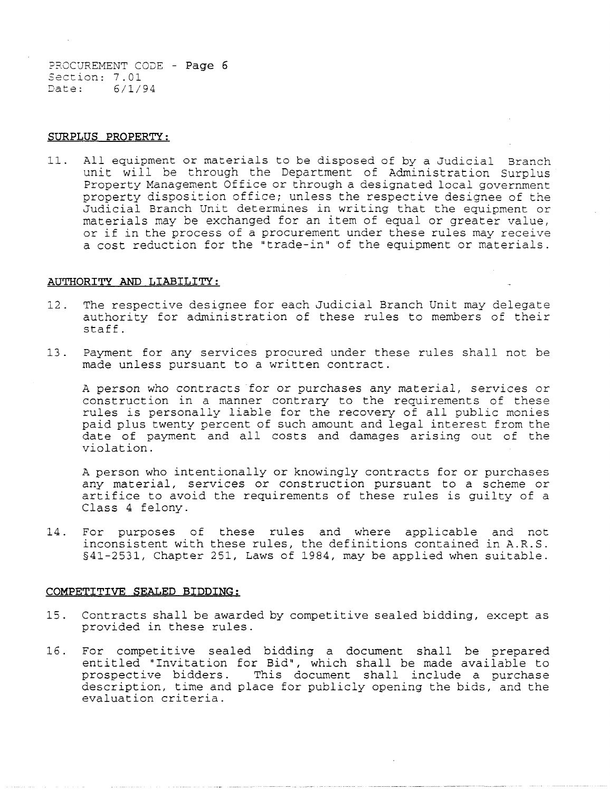PROCUREMENT CODE - Page 6 Section: 7.01 Date: 6/1/94

## **SURPLUS PROPERTY:**

11. All equipment or materials to be disposed of by a Judicial Branch unit will be through the Department of Administration Surplus Property Management Office or through a designated local government property disposition office; unless the respective designee of the Judicial Branch Unit determines in writing that the equipment or materials may be exchanged for an item of equal or greater value, or if in the process of a procurement under these rules may receive a cost reduction for the "trade-in" of the equipment or materials.

## **AUTHORITY AND LIABILITY:**

- 12. The respective designee for each Judicial Branch Unit may delegate authority for administration of these rules to members of their staff.
- 13. Payment for any services procured under these rules shall not be made unless pursuant to a written contract.

A person who contracts for or purchases any material, services or construction in a manner contrary to the requirements of these conscruccion in a manner concrury to the requirements of these<br>rules is personally liable for the recovery of all public monies paid plus twenty percent of such amount and legal interest from the date of payment and all costs and damages arising out of the violation.

A person who intentionally or knowingly contracts for or purchases any material, services or construction pursuant to a scheme or artifice to avoid the requirements of these rules is guilty of a Class 4 felony.

14. For purposes of these rules and where applicable and not inconsistent with these rules, the definitions contained in A.R.S. §41-2531, Chapter 251, Laws of 1984, may be applied when suitable.

#### **COMPETITIVE SEALED BIDDING:**

- 15. Contracts shall be awarded by competitive sealed bidding, except as provided in these rules.
- 16. For competitive sealed bidding a document shall be prepared entitled "Invitation for Bid", which shall be made available to prospective bidders. This document shall include a purchase description, time and place for publicly opening the bids, and the evaluation criteria.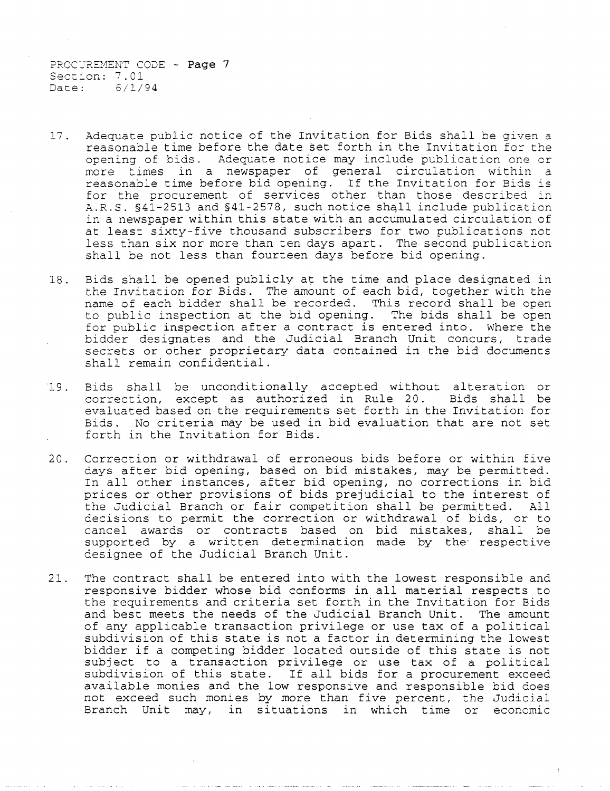PROCUREMENT CODE - **Page 7** Section: 7.01<br>Date: 6/1/  $6/1/94$ 

- 17. Adequate public notice of the Invitation for Bids shall be given a reasonable time before the date set forth in the Invitation for the opening of bids. Adequate notice may include publication one or more times in a newspaper of general circulation within a reasonable time before bid opening. If the Invitation for Bids is for the procurement of services other than those described in A.R.S. §41-2513 and §41-2578, such notice shall include publication in a newspaper within this state with an accumulated circulation of at least sixty-five thousand subscribers for two publications not less than six nor more than ten days apart. The second publication shall be not less than fourteen days before bid opening.
- 18. Bids shall be opened publicly at the time and place designated in the Invitation for Bids. The amount of each bid, together with the name of each bidder shall be recorded. This record shall be open to public inspection at the bid opening. The bids shall be open for public inspection after a contract is entered into. Where the bidder designates and the Judicial Branch Unit concurs, trade secrets or other proprietary data contained in the bid documents shall remain confidential.
- 19. Bids shall be unconditionally accepted without alteration or correction, except as authorized in Rule 20. Bids shall be evaluated based on the requirements set forth in the Invitation for Bids. No criteria may be used in bid evaluation that are not set forth in the Invitation for Bids.
- 20. Correction or withdrawal of erroneous bids before or within five days after bid opening, based on bid mistakes, may be permitted. In all other instances, after bid opening, no corrections in bid prices or other provisions of bids prejudicial to the interest of the Judicial Branch or fair competition shall be permitted. All decisions to permit the correction or withdrawal of bids, or to cancel awards or contracts based on bid mistakes, shall be supported by a written determination made by the respective designee of the Judicial Branch Unit.
- 21. The contract shall be entered into with the lowest responsible and responsive bidder whose bid conforms in all material respects to the requirements and criteria set forth in the Invitation for Bids and best meets the needs of the Judicial Branch Unit. The amount of any applicable transaction privilege or use tax of a political subdivision of this state is not a factor in determining the lowest bidder if a competing bidder located outside of this state is not subject to a transaction privilege or use tax of a political subdivision of this state. If all bids for a procurement exceed available monies and the low responsive and responsible bid does not exceed such monies by more than five percent, the Judicial Branch Unit may, In situations In which time or economic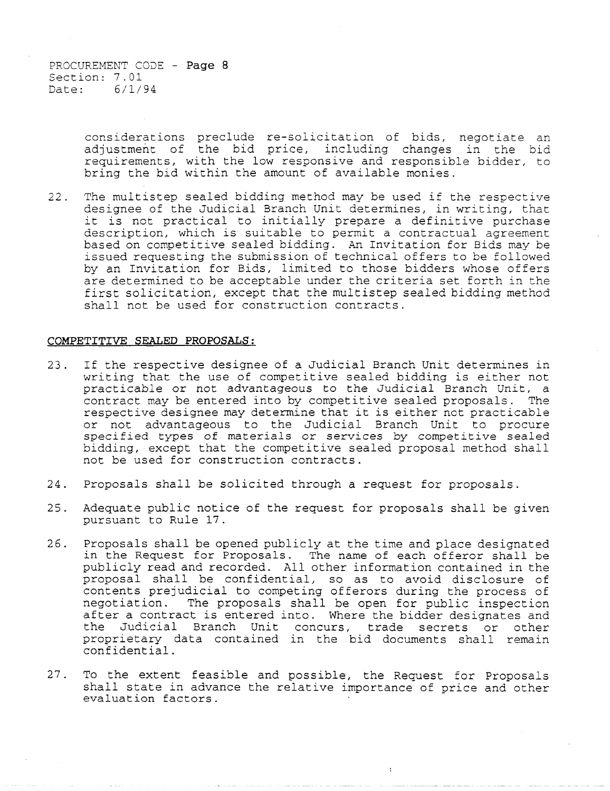PROCUREMENT *COuE* - **Page** 8 Section: 7.01 Date: 6/1/94

> considerations preclude re-solicitation of bids, negotiate an adjustment of the bid price, including changes in the bid requirements, with the low responsive and responsible bidder, to bring the bid within the amount of available monies.

22. The multistep sealed bidding method may be used if the respective designee of the Judicial Branch Unit determines, in writing, that it is not practical to initially prepare a definitive purchase description, which is suitable to permit a contractual agreement based on competitive sealed bidding. An Invitation for Bids may be issued requesting the submission of technical offers to be followed by an Invitation for Bids, limited to those bidders whose offers are determined to be acceptable under the criteria set forth in the first solicitation, except that the multistep sealed bidding method shall not be used for construction contracts.

## **COMPETITIVE SEALED PROPOSALS:**

- 23. If the respective designee of a Judicial Branch Unit determines in writing that the use of competitive sealed bidding is either not practicable or not advantageous to the Judicial Branch Unit, a contract may be entered into by competitive sealed proposals. The respective designee may determine that it is either not practicable or not advantageous to the Judicial Branch Unit to procure specified types of materials or services by competitive sealed bidding, except that the competitive sealed proposal method shall not be used for construction contracts.
- 24. Proposals shall be solicited through a request for proposals.
- 25. Adequate public notice of the request for proposals shall be given pursuant to Rule 17.
- 26. Proposals shall be opened publicly at the time and place designated in the Request for Proposals. The name of each offeror shall be publicly read and recorded. All other information contained in the proposal shall be confidential, so as to avoid disclosure of contents prejudicial to competing offerors during the process of<br>negotiation. The proposals shall be open for public inspection The proposals shall be open for public inspection after a contract is entered into. Where the bidder designates and the Judicial Branch Unit concurs, trade secrets or other proprietary data contained in the bid documents shall remain confidential.
- 27. To the extent feasible and possible, the Request for Proposals shall state in advance the relative importance of price and other evaluation factors.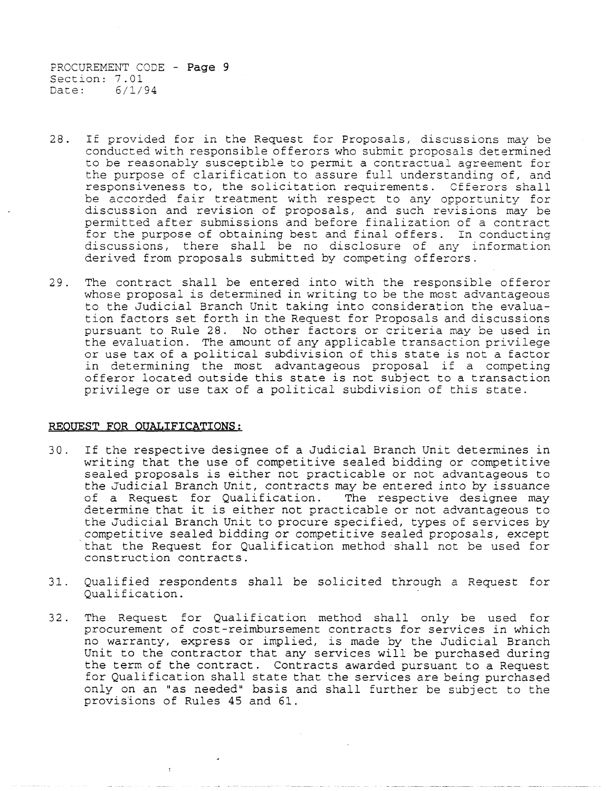PROCUREMENT CODE - **Page** 9 Section: 7.01<br>Date: 6/1/94 Date:

- 28. If provided for in the Request for Proposals, discussions may be conducted with responsible offerors who submit proposals determined to be reasonably susceptible to permit a contractual agreement for the purpose of clarification to assure full understanding of, and responsiveness to, the solicitation requirements. Cfferors shall be accorded fair treatment with respect to any opportunity for discussion and revision of proposals, and such revisions may be permitted after submissions and before finalization of a contract for the purpose of obtaining best and final offers. In conducting discussions, there shall be no disclosure of any information derived from proposals submitted by competing offerors.
- 29. The contract shall be entered into with the responsible offeror whose proposal is determined in writing to be the most advantageous to the Judicial Branch Unit taking into consideration the evaluation factors set forth in the Request for Proposals and discussions pursuant to Rule 28. No other factors or criteria may be used in the evaluation. The amount of any applicable transaction privilege or use tax of a political subdivision of this state is not a factor in determining the most advantageous proposal if a competing offeror located outside this state is not subject to a transaction privilege or use tax of a political subdivision of this state.

## **REOUEST FOR OUALIFICATIONS:**

- 30. If the respective designee of a Judicial Branch Unit determines in writing that the use of competitive sealed bidding or competitive sealed proposals is either not practicable or not advantageous to the Judicial Branch Unit, contracts may be entered into by issuance<br>of a Request for Qualification. The respective designee may of a Request for Qualification. determine that it is either not practicable or not advantageous to the Judicial Branch Unit to procure specified, types of services by competitive sealed bidding or competitive sealed proposals, except that the Request for Qualification method shall not be used for construction contracts.
- 31. Qualified respondents shall be solicited through a Request for Qualification.
- 32. The Request for Qualification method shall only be used for procurement of cost-reimbursement contracts for services in which no warranty, express or implied, is made by the Judicial Branch Unit to the contractor that any services will be purchased during the term of the contract. Contracts awarded pursuant to a Request for Qualification shall state that the services are being purchased only on an "as needed" basis and shall further be subject to the provisions of Rules 45 and 61.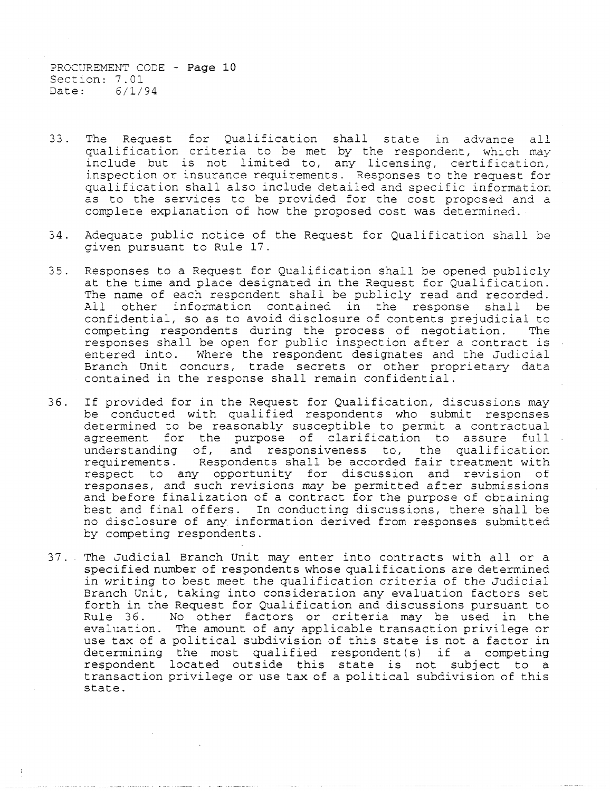PROCUREMENT CODE - **Page 10**  Section:  $7.01$ <br>Date:  $6/1/9$  $6/1/94$ 

- 33. The Request for Qualification shall state in advance all qualification criteria to be met by the respondent, which may include but is not limited to, any licensing, certification, inspection or insurance requirements. Responses to the request for qualification shall also include detailed and specific information as to the services to be provided for the cost proposed and a complete explanation of how the proposed cost was determined.
- 34. Adequate public notice of the Request for Qualification shall be given pursuant to Rule 17.
- 35. Responses to a Request for Qualification shall be opened publicly at the time and place designated in the Request for Qualification. The name of each respondent shall be publicly read and recorded. All other information contained in the response shall be confidential, so as to avoid disclosure of contents prejudicial to competing respondents during the process of negotiation. responses shall be open for public inspection after a contract is entered into. Where the respondent designates and the Judicial Branch Unit concurs, trade secrets or other proprietary data contained in the response shall remain confidential.
- 36. If provided for in the Request for Qualification, discussions may be conducted with qualified respondents who submit responses determined to be reasonably susceptible to permit a contractual agreement for the purpose of clarification to assure full understanding of, and responsiveness to, the qualification requirements. Respondents shall be accorded fair treatment with respect to any opportunity for discussion and revision of responses, and such revisions may be permitted after submissions and before finalization of a contract for the purpose of obtaining best and final offers. In conducting discussions, there shall be no disclosure of any information derived from responses submitted by competing respondents.
- 37. The Judicial Branch Unit may enter into contracts with all or a specified number of respondents whose qualifications are determined in writing to best meet the qualification criteria of the Judicial Branch Unit, taking into consideration any evaluation factors set forth in the Request for Qualification and discussions pursuant to Rule 36. No other factors or criteria may be used in the evaluation. The amount of any applicable transaction privilege or use tax of a political subdivision of this state is not a factor in determining the most qualified respondent(s) if a competing respondent located outside this state is not subject to a transaction privilege or use tax of a political subdivision of this state.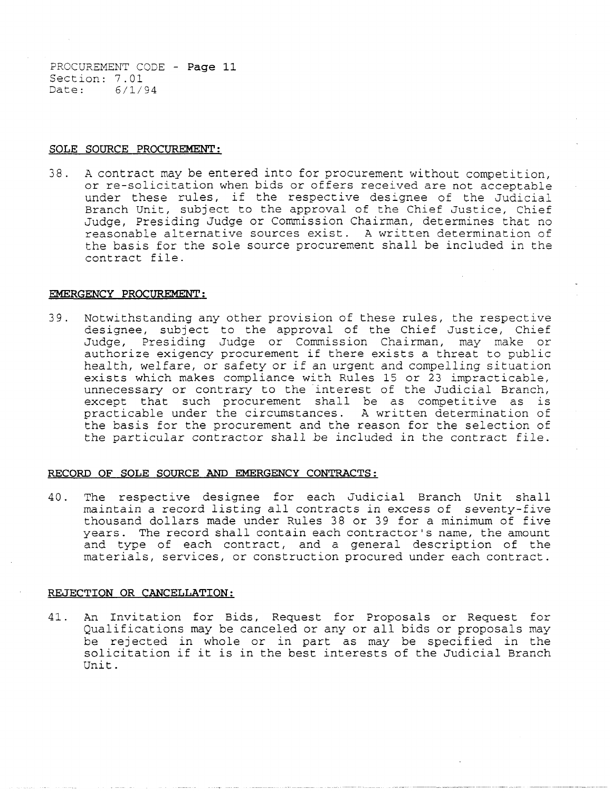PROCUREMENT CODE - Page 11 Section: 7.01 Date: 6/1/94

### SOLE SOURCE PROCUREMENT:

38. A contract may be entered into for procurement without competition, or re-solicitation when bids or offers received are not acceptable under these rules, if the respective designee of the Judicial Branch Unit, subject to the approval of the Chief Justice, Chief Judge, Presiding Judge or Commission Chairman, determines that no reasonable alternative sources exist. A written determination of the basis for the sole source procurement shall be included in the contract file.

### EMERGENCY PROCUREMENT:

39. Notwithstanding any other provision of these rules, the respective designee, subject to the approval of the Chief Justice, Chief Judge, Presiding Judge or Commission Chairman, may make or authorize exigency procurement if there exists a threat to public health, welfare, or safety or if an urgent and compelling situation exists which makes compliance with Rules 15 or 23 impracticable, unnecessary or contrary to the interest of the Judicial Branch, except that such procurement shall be as competitive as is practicable under the circumstances. A written determination of the basis for the procurement and the reason for the selection of the particular contractor shall *be* included in the contract file.

## RECORD OF SOLE SOURCE AND EMERGENCY CONTRACTS:

40. The respective designee for each Judicial Branch Unit shall maintain a record listing all contracts in excess of seventy-five thousand dollars made under Rules 38 or 39 for a minimum of five years. The record shall contain each contractor's name, the amount and type of each contract, and a general description of the materials, services, or construction procured under each contract.

### REJECTION OR CANCELLATION:

41. An Invitation for Bids, Request for Proposals or Request for Qualifications may be canceled or any or all bids or proposals may be rej ected in whole or in part as may be specified in the solicitation if it is in the best interests of the Judicial Branch Unit.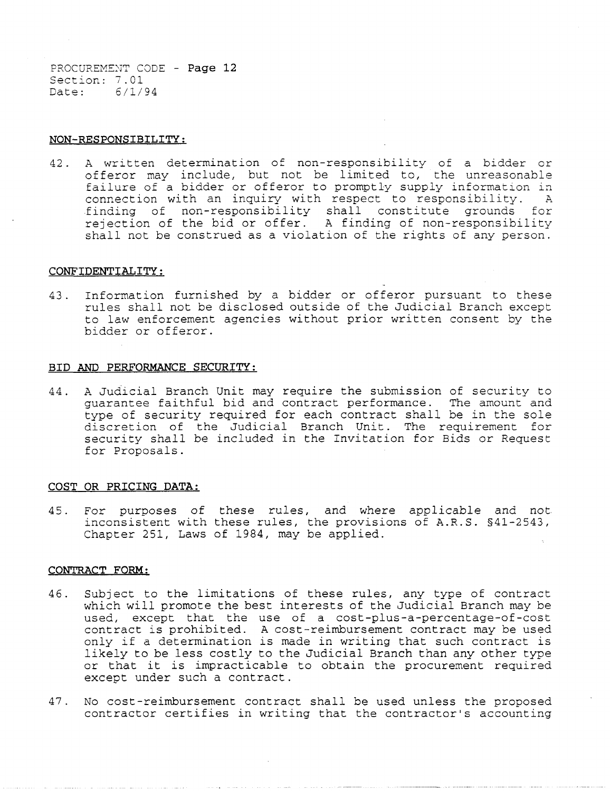PROCUREMENT CODE - **Page 12** Section: 7.01 Date: 6/1/94

### **NON-RESPONSIBILITY:**

42. A written determination of non-responsibility of a bidder or offeror may include, but not be limited to, the unreasonable failure of a bidder or offeror to promptly supply information in connection with an inquiry with respect to responsibility. A finding of non-responsibility shall constitute grounds for rejection of the bid or offer. A finding of non-responsibility shall not be construed as a violation of the rights of any person.

## **CONFIDENTIALITY:**

43. Information furnished by a bidder or offeror pursuant to these rules shall not be disclosed outside of the Judicial Branch except to law enforcement agencies without prior written consent by the bidder or offeror.

#### **BID AND PERFORMANCE SECURITY:**

44. A Judicial Branch Unit may require the submission of security to guarantee faithful bid and contract performance. The amount and type of security required for each contract shall be in the sole discretion of the Judicial Branch Unit. The requirement for security shall be included in the Invitation for Bids or Request for Proposals.

## **COST OR PRICING DATA:**

45. For purposes of these rules, and where applicable and not inconsistent with these rules, the provisions of A.R.S. §41-2543, Chapter 251, Laws of 1984, may be applied.

## **CONTRACT FORM:**

- 46. Subject to the limitations of these rules, any type of contract which will promote the best interests of the Judicial Branch may be used, except that the use of a cost-plus-a-percentage-of-cost contract is prohibited. A cost-reimbursement contract may be used only if a determination is made in writing that such contract is likely to be less costly to the Judicial Branch than any other type or that it is impracticable to obtain the procurement required except under such a contract.
- 47. No cost-reimbursement contract shall be used unless the proposed contractor certifies in writing that the contractor's accounting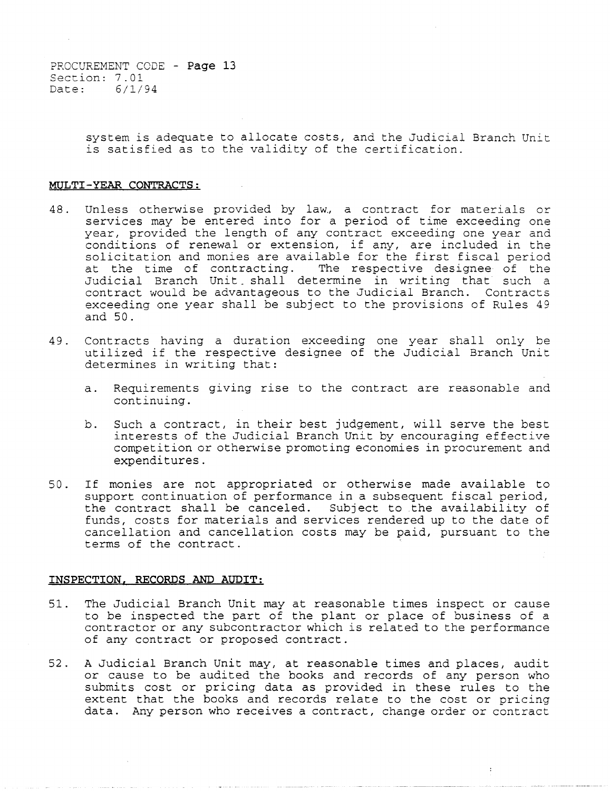PROCUREMENT CODE - Page 13 Section: 7.01 Date: 6/1/94

> system is adequate to allocate costs, and the Judicial Branch Unit is satisfied as to the validity of the certification.

#### MULTI-YEAR CONTRACTS:

- 48. Unless otherwise provided by law, a contract for materials or services may be entered into for a period of time exceeding one year, provided the length of any contract exceeding one year and conditions of renewal or extension, if any, are included in the solicitation and monies are available for the first fiscal period at the time of contracting. The respective designee of the Judicial Branch Unit shall determine in writing that such a contract would be advantageous to the Judicial Branch. Contracts exceeding one year shall be subject to the provisions of Rules 49 and 50.
- 49. Contracts having a duration exceeding one year shall only be utilized if the respective designee of the Judicial Branch Unit determines in writing that:
	- a. Requirements giving rise to the contract are reasonable and continuing.
	- b. Such a contract, in their best judgement, will serve the best interests of the Judicial Branch Unit by encouraging effective competition or otherwise promoting economies in procurement and expenditures.
- 50. If monies are not appropriated or otherwise made available to support continuation of performance in a subsequent fiscal period, the contract shall be canceled. Subject to .the availability of funds, costs for materials and services rendered up to the date of cancellation and cancellation costs may be paid, pursuant to the terms of the contract.

## INSPECTION, RECORDS AND AUDIT:

- 51. The Judicial Branch Unit may at reasonable times inspect or cause to be inspected the part of the plant or place of business of a contractor or any subcontractor which is related to the performance of any contract or proposed contract.
- 52. A Judicial Branch Unit may, at reasonable times and places, audit or cause to be audited the books and records of any person who submits cost or pricing data as provided in these rules to the extent that the books and records relate to the cost or pricing data. Any person who receives a contract, change order or contract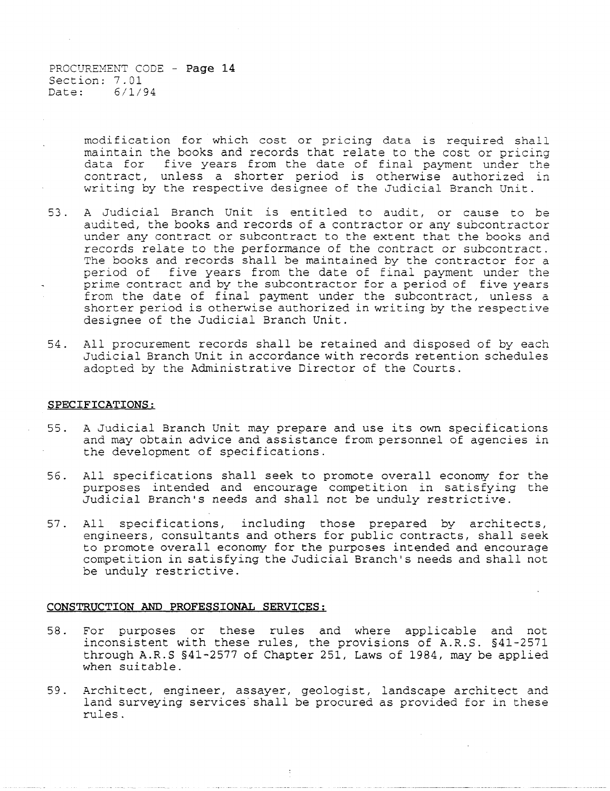PROCUREMENT CODE - **Page 14**  Section: 7.01 Date: *6/1/94* 

> modification for which cost or pricing data is required shall maintain the books and records that relate to the cost or pricing data for five years from the date of final payment under the contract, unless a shorter period is otherwise authorized in writing by the respective designee of the Judicial Branch Unit.

- 53. A Judicial Branch Unit is entitled to audit, or cause to be audited, the books and records of a contractor or any subcontractor under any contract or subcontract to the extent that the books and records relate to the performance of the contract or subcontract. The books and records shall be maintained by the contractor for a period of five years from the date of final payment under the prime contract and by the subcontractor for a period of five years from the date of final payment under the subcontract, unless a shorter period is otherwise authorized in writing by the respective designee of the Judicial Branch Unit.
- 54. All procurement records shall be retained and disposed of by each Judicial Branch Unit in accordance with records retention schedules adopted by the Administrative Director of the Courts.

## **SPECIFICATIONS:**

- 55. A Judicial Branch Unit may prepare and use its own specifications and may obtain advice and assistance from personnel of agencies in the development of specifications.
- 56. All specifications shall seek to promote overall economy for the purposes intended and encourage competition in satisfying the Judicial Branch's needs and shall not be unduly restrictive.
- 57. All specifications, including those prepared by architects, engineers, consultants and others for public contracts, shall seek to promote overall economy for the purposes intended and encourage competition in satisfying the Judicial Branch's needs and shall not be unduly restrictive.

## **CONSTRUCTION AND PROFESSIONAL SERVICES:**

- 58. For purposes or these rules and where applicable and not inconsistent with these rules, the provisions of A.R.S. §41-2571 through A.R.S §41-2577 of Chapter 251, Laws of 1984, may be applied when suitable.
- 59. Architect, engineer, assayer, geologist, landscape architect and land surveying services'shall be procured as provided for in these rules.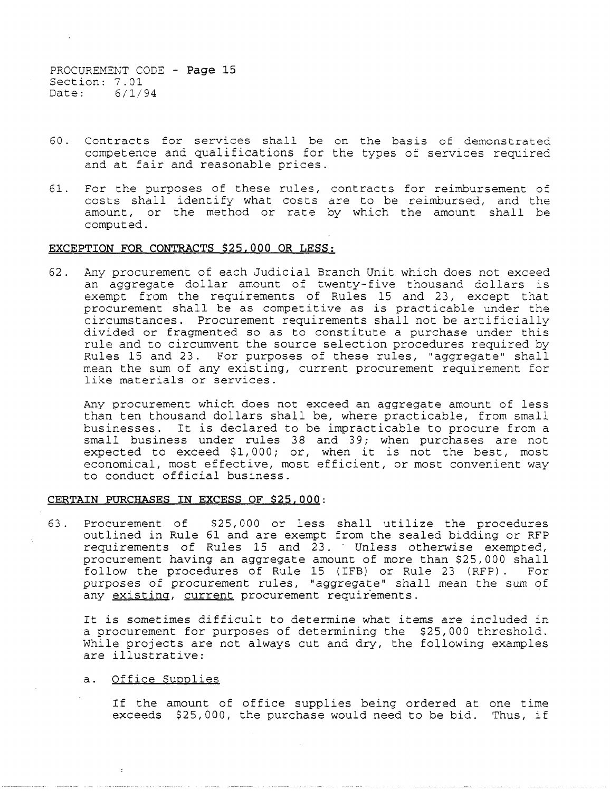PROCUREMENT CODE - **Page 15**  Section: 7.01 Date: *6/1/94* 

- 60. Contracts for services shall be on the basis of demonstrated competence and qualifications for the types of services required and at fair and reasonable prices.
- 61. For the purposes of these rules, contracts for reimbursement of costs shall identify what costs are to be reimbursed, and the amount, or the method or rate by which the amount shall be computed.

## **EXCEPTION FOR CONTRACTS \$25,000 OR LESS:**

62. Any procurement of each Judicial Branch Unit which does not exceed an aggregate dollar amount of twenty-five thousand dollars is exempt from the requirements of Rules 15 and 23, except that procurement shall be as competitive as is practicable under the circumstances. Procurement requirements shall not be artificially divided or fragmented so as to constitute a purchase under this rule and to circumvent the source selection procedures required by Rules 15 and 23. For purposes of these rules, "aggregate" shall mean the sum of any existing, current procurement requirement for like materials or services.

Any procurement which does not exceed an aggregate amount of less than ten thousand dollars shall be, where practicable, from small businesses. It is declared to be impracticable to procure from a small business under rules 38 and 39; when purchases are not expected to exceed \$1,000; or, when it is not the best, most economical, most effective, most efficient, or most convenient way to conduct official business.

### **CERTAIN PURCHASES IN EXCESS OF \$25,000:**

63. Procurement of \$25,000 or less shall utilize the procedures outlined in Rule 61 and are exempt from the sealed bidding or RFP requirements of Rules 15 and 23. Unless otherwise exempted, procurement having an aggregate amount of more than \$25,000 shall follow the procedures of Rule 15 (IFB) or Rule 23 (RFP). For purposes of procurement rules, "aggregate" shall mean the sum of any existing, current procurement requirements.

It is sometimes difficult to determine what items are included in a procurement for purposes of determining the \$25,000 threshold. While projects are not always cut and dry, the following examples are illustrative:

## a. Office Supplies

If the amount of office supplies being ordered at one time exceeds \$25,000, the purchase would need to be bid. Thus, if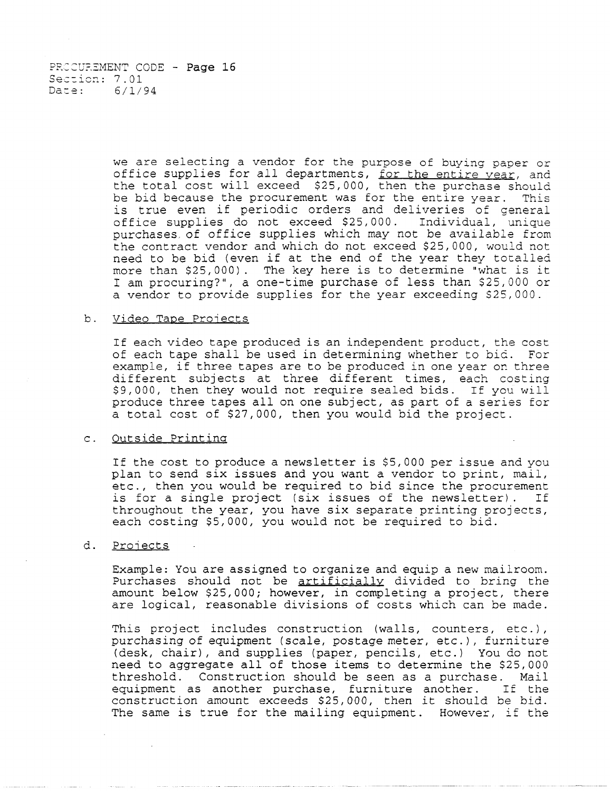PROCUREMENT CODE - Page 16 Section: 7.01 Date: 6/1/94

> we are selecting a vendor for the purpose of buying paper or office supplies for all departments, for the entire year, and the total cost will exceed \$25,000, then the purchase should be bid because the procurement was for the entire year. This is true even if periodic orders and deliveries of general office supplies do not exceed \$25,000. Individual, unique purchases of office supplies which may not be available from the contract vendor and which do not exceed \$25,000, would not need to be bid (even if at the end of the year they totalled more than \$25,000). The key here is to determine "what is it I am procuring?", a one-time purchase of less than \$25,000 or a vendor to provide supplies for the year exceeding \$25,000.

#### b. Video Tape Projects

If each video tape produced is an independent product, the cost of each tape shall be used in determining whether to bid. For example, if three tapes are to be produced in one year on three different subjects at three different times, each costing \$9,000, then they would not require sealed bids. If you will produce three tapes all on one subject, as part of a series for a total cost of \$27,000, then you would bid the project.

#### c. Outside Printing

If the cost to produce a newsletter is \$5,000 per issue and you plan to send six issues and you want a vendor to print, mail, etc., then you would be required to bid since the procurement<br>is for a single project (six issues of the newsletter). If is for a single project (six issues of the newsletter). throughout the year, you have six separate printing projects, each costing \$5,000, you would not be required to bid.

## d. Projects

Example: You are assigned to organize and equip a new mailroom. Purchases should not be artificially divided to bring the amount below \$25,000; however, in completing a project, there are logical, reasonable divisions of costs which can be made.

This project includes construction (walls, counters, etc.), purchasing of equipment (scale, postage meter, etc.), furniture (desk, chair), and supplies (paper, pencils, etc.) You do not need to aggregate all of those items to determine the \$25,000 threshold. Construction should be seen as a purchase. Mail equipment as another purchase, furniture another. If the equipment as another purchase, furniture another. If the construction amount exceeds \$25,000, then *it* should be bid. The same is true for the mailing equipment. However, if the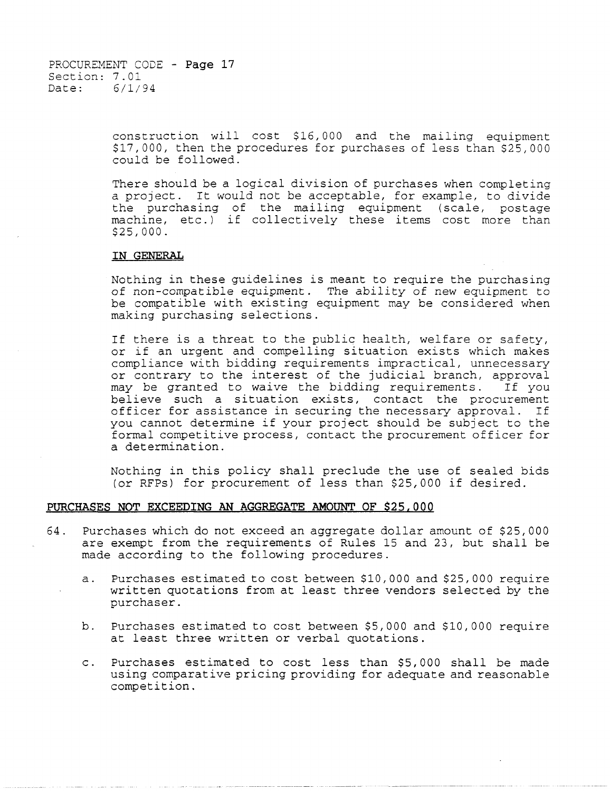construction will cost \$16,000 and the mailing equipment \$17,000, then the procedures for purchases of less than \$25,000 could be followed.

There should be a logical division of purchases when completing a project. It would not be acceptable, for example, to divide the purchasing of the mailing equipment (scale, postage machine, etc.) if collectively these items cost more than \$25,000.

## **IN GENERAL**

Nothing in these guidelines is meant to require the purchasing of non-compatible equipment. The ability of new equipment to be compatible with existing equipment may be considered when making purchasing selections.

If there is a threat to the public health, welfare or safety, or if an urgent and compelling situation exists which makes compliance with bidding requirements impractical, unnecessary or contrary to the interest of the judicial branch, approval may be granted to waive the bidding requirements. If you believe such a situation exists, contact the procurement officer for assistance in securing the necessary approval. If you cannot determine if your project should be subject to the formal competitive process, contact the procurement officer for a determination.

Nothing in this policy shall preclude the use of sealed bids (or RFPs) for procurement of less than \$25,000 if desired.

## **PURCHASES NOT EXCEEDING AN AGGREGATE AMOUNT OF \$25,000**

- 64. Purchases which do not exceed an aggregate dollar amount of \$25,000 are exempt from the requirements of Rules 15 and 23, but shall be made according to the following procedures.
	- a. Purchases estimated to cost between \$10,000 and \$25,000 require written quotations from at least three vendors selected by the purchaser.
	- b. Purchases estimated to cost between \$5,000 and \$10,000 require at least three written or verbal quotations.
	- c. Purchases estimated to cost less than \$5,000 shall be made using comparative pricing providing for adequate and reasonable competition.